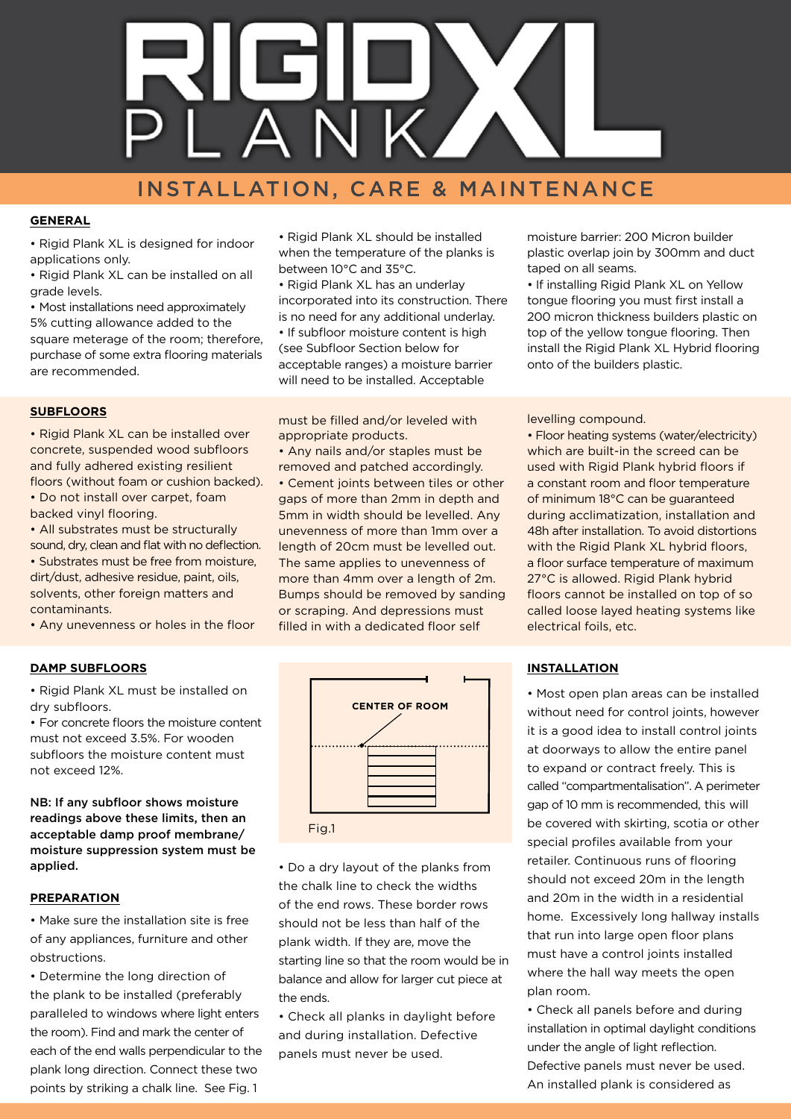

# INSTALLATION, CARE & MAINTENANCE

## **GENERAL**

• Rigid Plank XL is designed for indoor applications only.

• Rigid Plank XL can be installed on all grade levels.

• Most installations need approximately 5% cutting allowance added to the square meterage of the room; therefore, purchase of some extra flooring materials are recommended.

#### **SUBFLOORS**

• Rigid Plank XL can be installed over concrete, suspended wood subfloors and fully adhered existing resilient floors (without foam or cushion backed). • Do not install over carpet, foam backed vinyl flooring.

• All substrates must be structurally sound, dry, clean and flat with no deflection. • Substrates must be free from moisture, dirt/dust, adhesive residue, paint, oils, solvents, other foreign matters and contaminants.

• Any unevenness or holes in the floor

#### **DAMP SUBFLOORS**

• Rigid Plank XL must be installed on dry subfloors.

• For concrete floors the moisture content must not exceed 3.5%. For wooden subfloors the moisture content must not exceed 12%.

NB: If any subfloor shows moisture readings above these limits, then an acceptable damp proof membrane/ moisture suppression system must be applied.

## **PREPARATION**

• Make sure the installation site is free of any appliances, furniture and other obstructions.

• Determine the long direction of the plank to be installed (preferably paralleled to windows where light enters the room). Find and mark the center of each of the end walls perpendicular to the plank long direction. Connect these two points by striking a chalk line. See Fig. 1

• Rigid Plank XL should be installed when the temperature of the planks is between 10°C and 35°C.

• Rigid Plank XL has an underlay incorporated into its construction. There is no need for any additional underlay. • If subfloor moisture content is high (see Subfloor Section below for acceptable ranges) a moisture barrier will need to be installed. Acceptable

must be filled and/or leveled with appropriate products.

• Any nails and/or staples must be removed and patched accordingly.

• Cement joints between tiles or other gaps of more than 2mm in depth and 5mm in width should be levelled. Any unevenness of more than 1mm over a length of 20cm must be levelled out. The same applies to unevenness of more than 4mm over a length of 2m. Bumps should be removed by sanding or scraping. And depressions must filled in with a dedicated floor self



• Do a dry layout of the planks from the chalk line to check the widths of the end rows. These border rows should not be less than half of the plank width. If they are, move the starting line so that the room would be in balance and allow for larger cut piece at the ends.

• Check all planks in daylight before and during installation. Defective panels must never be used.

moisture barrier: 200 Micron builder plastic overlap join by 300mm and duct taped on all seams.

• If installing Rigid Plank XL on Yellow tongue flooring you must first install a 200 micron thickness builders plastic on top of the yellow tongue flooring. Then install the Rigid Plank XL Hybrid flooring onto of the builders plastic.

#### levelling compound.

• Floor heating systems (water/electricity) which are built-in the screed can be used with Rigid Plank hybrid floors if a constant room and floor temperature of minimum 18°C can be guaranteed during acclimatization, installation and 48h after installation. To avoid distortions with the Rigid Plank XL hybrid floors, a floor surface temperature of maximum 27°C is allowed. Rigid Plank hybrid floors cannot be installed on top of so called loose layed heating systems like electrical foils, etc.

#### **INSTALLATION**

• Most open plan areas can be installed without need for control joints, however it is a good idea to install control joints at doorways to allow the entire panel to expand or contract freely. This is called "compartmentalisation". A perimeter gap of 10 mm is recommended, this will be covered with skirting, scotia or other special profiles available from your retailer. Continuous runs of flooring should not exceed 20m in the length and 20m in the width in a residential home. Excessively long hallway installs that run into large open floor plans must have a control joints installed where the hall way meets the open plan room.

• Check all panels before and during installation in optimal daylight conditions under the angle of light reflection. Defective panels must never be used. An installed plank is considered as